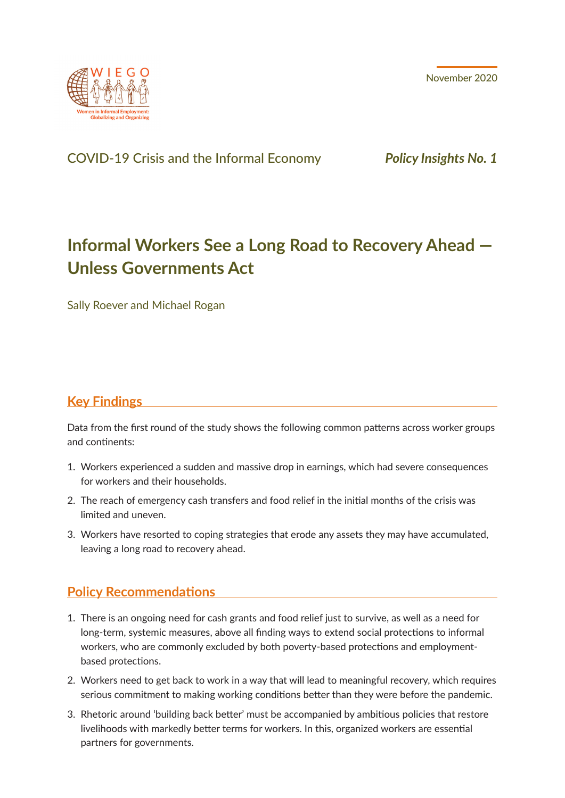November 2020



# COVID-19 Crisis and the Informal Economy *Policy Insights No. 1*

# **Informal Workers See a Long Road to Recovery Ahead — Unless Governments Act**

Sally Roever and Michael Rogan

# **Key Findings**

Data from the first round of the study shows the following common patterns across worker groups and continents:

- 1. Workers experienced a sudden and massive drop in earnings, which had severe consequences for workers and their households.
- 2. The reach of emergency cash transfers and food relief in the initial months of the crisis was limited and uneven.
- 3. Workers have resorted to coping strategies that erode any assets they may have accumulated, leaving a long road to recovery ahead.

# **Policy Recommendations**

- 1. There is an ongoing need for cash grants and food relief just to survive, as well as a need for long-term, systemic measures, above all finding ways to extend social protections to informal workers, who are commonly excluded by both poverty-based protections and employmentbased protections.
- 2. Workers need to get back to work in a way that will lead to meaningful recovery, which requires serious commitment to making working conditions better than they were before the pandemic.
- 3. Rhetoric around 'building back better' must be accompanied by ambitious policies that restore livelihoods with markedly better terms for workers. In this, organized workers are essential partners for governments.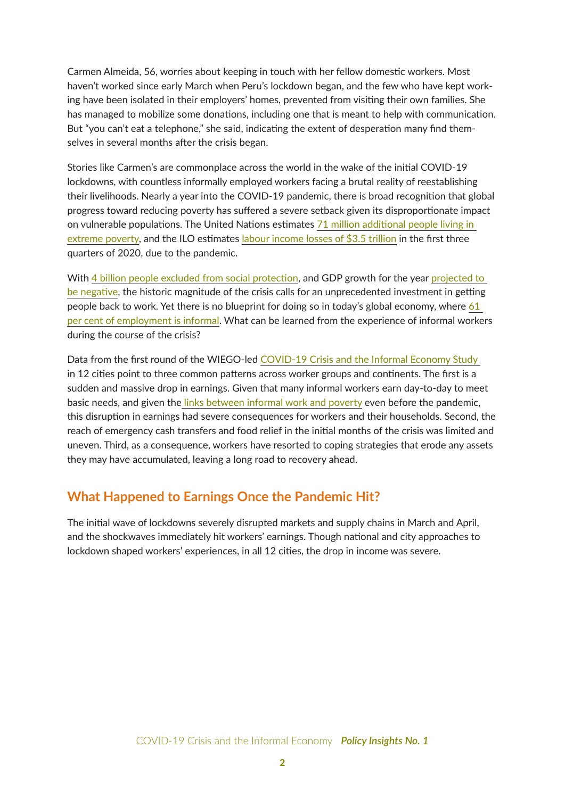Carmen Almeida, 56, worries about keeping in touch with her fellow domestic workers. Most haven't worked since early March when Peru's lockdown began, and the few who have kept working have been isolated in their employers' homes, prevented from visiting their own families. She has managed to mobilize some donations, including one that is meant to help with communication. But "you can't eat a telephone," she said, indicating the extent of desperation many find themselves in several months after the crisis began.

Stories like Carmen's are commonplace across the world in the wake of the initial COVID-19 lockdowns, with countless informally employed workers facing a brutal reality of reestablishing their livelihoods. Nearly a year into the COVID-19 pandemic, there is broad recognition that global progress toward reducing poverty has suffered a severe setback given its disproportionate impact on vulnerable populations. The United Nations estimates [71 million additional people living in](https://unstats.un.org/sdgs/report/2020/The-Sustainable-Development-Goals-Report-2020.pdf)  [extreme poverty](https://unstats.un.org/sdgs/report/2020/The-Sustainable-Development-Goals-Report-2020.pdf), and the ILO estimates [labour income losses of \\$3.5 trillion](https://www.ilo.org/wcmsp5/groups/public/@dgreports/@dcomm/documents/briefingnote/wcms_755910.pdf) in the first three quarters of 2020, due to the pandemic.

With [4 billion people excluded from social protection](https://www.ilo.org/wcmsp5/groups/public/---ed_protect/---soc_sec/documents/publication/wcms_744612.pdf), and GDP growth for the year projected to [be negative](https://www.imf.org/en/Publications/WEO/Issues/2020/09/30/world-economic-outlook-october-2020), the historic magnitude of the crisis calls for an unprecedented investment in getting people back to work. Yet there is no blueprint for doing so in today's global economy, where 61 [per cent of employment is informal](https://www.wiego.org/sites/default/files/publications/files/Women%20and%20Men%20in%20the%20Informal%20Economy%20-%20A%20Statistical%20Brief%20-%20for%20web.pdf). What can be learned from the experience of informal workers during the course of the crisis?

Data from the first round of the WIEGO-led [COVID-19 Crisis and the Informal Economy Study](https://www.wiego.org/covid-19-global-impact-study)  in 12 cities point to three common patterns across worker groups and continents. The first is a sudden and massive drop in earnings. Given that many informal workers earn day-to-day to meet basic needs, and given th[e links between informal work and poverty](https://www.wiego.org/informal-economy/poverty-growth-linkages/links-poverty) even before the pandemic, this disruption in earnings had severe consequences for workers and their households. Second, the reach of emergency cash transfers and food relief in the initial months of the crisis was limited and uneven. Third, as a consequence, workers have resorted to coping strategies that erode any assets they may have accumulated, leaving a long road to recovery ahead.

# **What Happened to Earnings Once the Pandemic Hit?**

The initial wave of lockdowns severely disrupted markets and supply chains in March and April, and the shockwaves immediately hit workers' earnings. Though national and city approaches to lockdown shaped workers' experiences, in all 12 cities, the drop in income was severe.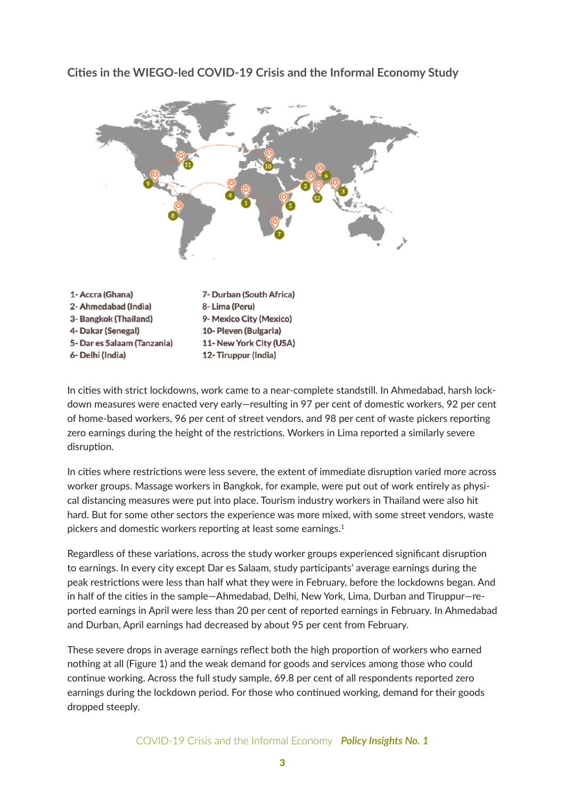1- Accra (Ghana) 7- Durban (South Africa) 2- Ahmedabad (India) 8-Lima (Peru) 3- Bangkok (Thailand) 9- Mexico City (Mexico)

10- Pleven (Bulgaria)

12- Tiruppur (India)

11- New York City (USA)

4- Dakar (Senegal)

6- Delhi (India)

5- Dar es Salaam (Tanzania)

**Cities in the WIEGO-led COVID-19 Crisis and the Informal Economy Study**

In cities with strict lockdowns, work came to a near-complete standstill. In Ahmedabad, harsh lockdown measures were enacted very early—resulting in 97 per cent of domestic workers, 92 per cent of home-based workers, 96 per cent of street vendors, and 98 per cent of waste pickers reporting zero earnings during the height of the restrictions. Workers in Lima reported a similarly severe disruption.

In cities where restrictions were less severe, the extent of immediate disruption varied more across worker groups. Massage workers in Bangkok, for example, were put out of work entirely as physical distancing measures were put into place. Tourism industry workers in Thailand were also hit hard. But for some other sectors the experience was more mixed, with some street vendors, waste pickers and domestic workers reporting at least some earnings.<sup>1</sup>

Regardless of these variations, across the study worker groups experienced significant disruption to earnings. In every city except Dar es Salaam, study participants' average earnings during the peak restrictions were less than half what they were in February, before the lockdowns began. And in half of the cities in the sample—Ahmedabad, Delhi, New York, Lima, Durban and Tiruppur—reported earnings in April were less than 20 per cent of reported earnings in February. In Ahmedabad and Durban, April earnings had decreased by about 95 per cent from February.

These severe drops in average earnings reflect both the high proportion of workers who earned nothing at all (Figure 1) and the weak demand for goods and services among those who could continue working. Across the full study sample, 69.8 per cent of all respondents reported zero earnings during the lockdown period. For those who continued working, demand for their goods dropped steeply.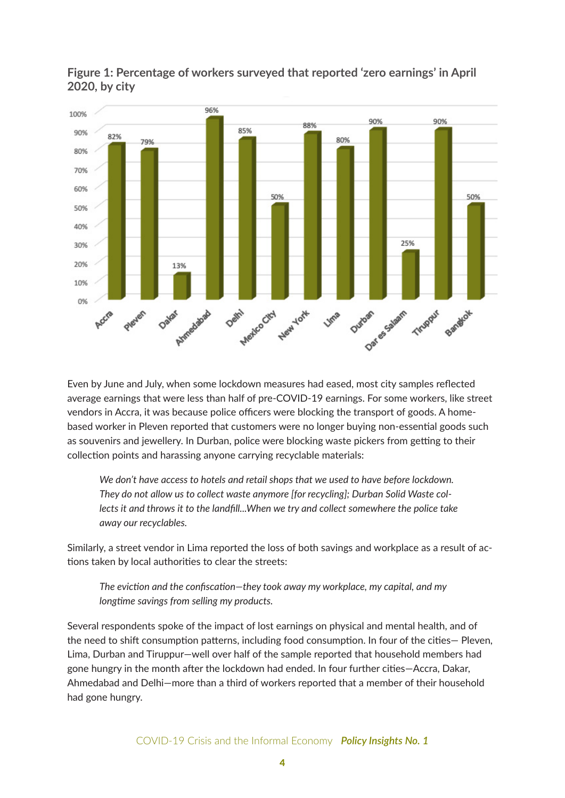



Even by June and July, when some lockdown measures had eased, most city samples reflected average earnings that were less than half of pre-COVID-19 earnings. For some workers, like street vendors in Accra, it was because police officers were blocking the transport of goods. A homebased worker in Pleven reported that customers were no longer buying non-essential goods such as souvenirs and jewellery. In Durban, police were blocking waste pickers from getting to their collection points and harassing anyone carrying recyclable materials:

*We don't have access to hotels and retail shops that we used to have before lockdown. They do not allow us to collect waste anymore [for recycling]; Durban Solid Waste collects it and throws it to the landfill...When we try and collect somewhere the police take away our recyclables.*

Similarly, a street vendor in Lima reported the loss of both savings and workplace as a result of actions taken by local authorities to clear the streets:

*The eviction and the confiscation—they took away my workplace, my capital, and my longtime savings from selling my products.*

Several respondents spoke of the impact of lost earnings on physical and mental health, and of the need to shift consumption patterns, including food consumption. In four of the cities— Pleven, Lima, Durban and Tiruppur—well over half of the sample reported that household members had gone hungry in the month after the lockdown had ended. In four further cities—Accra, Dakar, Ahmedabad and Delhi—more than a third of workers reported that a member of their household had gone hungry.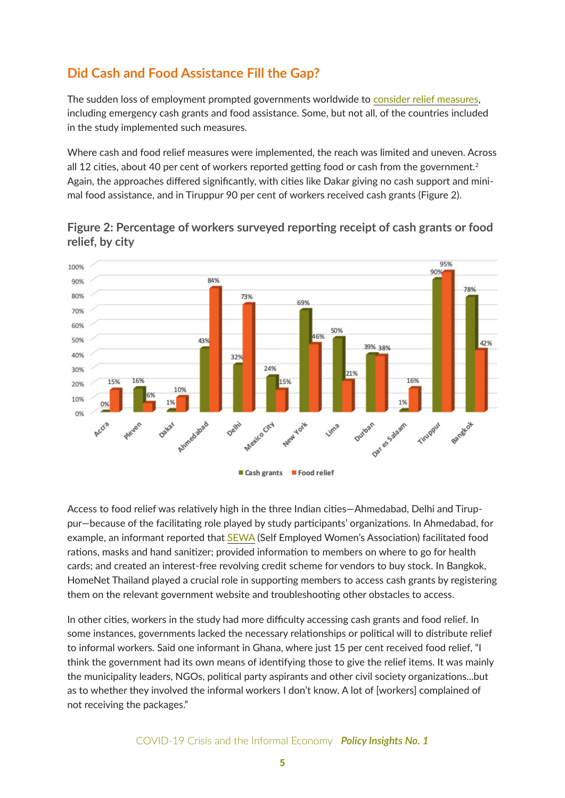# **Did Cash and Food Assistance Fill the Gap?**

The sudden loss of employment prompted governments worldwide to [consider relief measures](https://www.wiego.org/social-protection-responses-covid-19), including emergency cash grants and food assistance. Some, but not all, of the countries included in the study implemented such measures.

Where cash and food relief measures were implemented, the reach was limited and uneven. Across all 12 cities, about 40 per cent of workers reported getting food or cash from the government.<sup>2</sup> Again, the approaches differed significantly, with cities like Dakar giving no cash support and minimal food assistance, and in Tiruppur 90 per cent of workers received cash grants (Figure 2).





Access to food relief was relatively high in the three Indian cities—Ahmedabad, Delhi and Tiruppur—because of the facilitating role played by study participants' organizations. In Ahmedabad, for example, an informant reported that [SEWA](http://www.sewa.org/) (Self Employed Women's Association) facilitated food rations, masks and hand sanitizer; provided information to members on where to go for health cards; and created an interest-free revolving credit scheme for vendors to buy stock. In Bangkok, HomeNet Thailand played a crucial role in supporting members to access cash grants by registering them on the relevant government website and troubleshooting other obstacles to access.

In other cities, workers in the study had more difficulty accessing cash grants and food relief. In some instances, governments lacked the necessary relationships or political will to distribute relief to informal workers. Said one informant in Ghana, where just 15 per cent received food relief, "I think the government had its own means of identifying those to give the relief items. It was mainly the municipality leaders, NGOs, political party aspirants and other civil society organizations...but as to whether they involved the informal workers I don't know. A lot of [workers] complained of not receiving the packages."

COVID-19 Crisis and the Informal Economy *Policy Insights No. 1*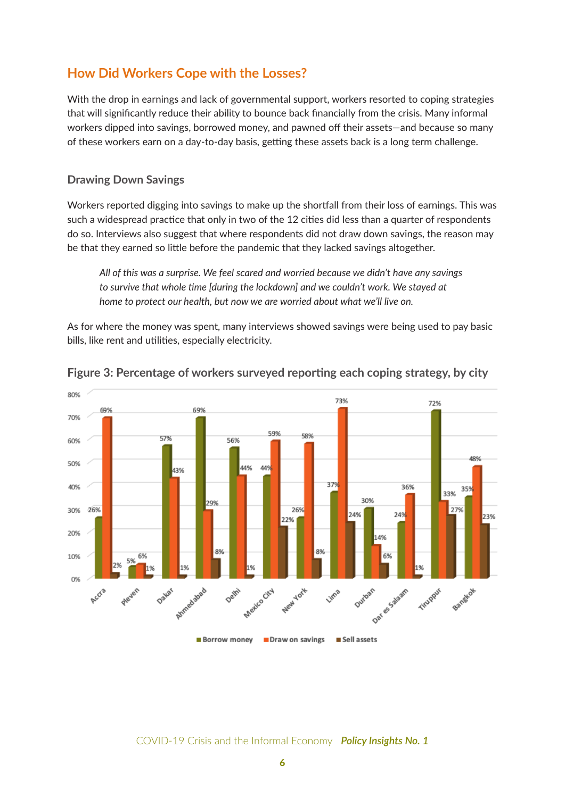# **How Did Workers Cope with the Losses?**

With the drop in earnings and lack of governmental support, workers resorted to coping strategies that will significantly reduce their ability to bounce back financially from the crisis. Many informal workers dipped into savings, borrowed money, and pawned off their assets—and because so many of these workers earn on a day-to-day basis, getting these assets back is a long term challenge.

#### **Drawing Down Savings**

Workers reported digging into savings to make up the shortfall from their loss of earnings. This was such a widespread practice that only in two of the 12 cities did less than a quarter of respondents do so. Interviews also suggest that where respondents did not draw down savings, the reason may be that they earned so little before the pandemic that they lacked savings altogether.

*All of this was a surprise. We feel scared and worried because we didn't have any savings to survive that whole time [during the lockdown] and we couldn't work. We stayed at home to protect our health, but now we are worried about what we'll live on.*

As for where the money was spent, many interviews showed savings were being used to pay basic bills, like rent and utilities, especially electricity.



#### **Figure 3: Percentage of workers surveyed reporting each coping strategy, by city**

COVID-19 Crisis and the Informal Economy *Policy Insights No. 1*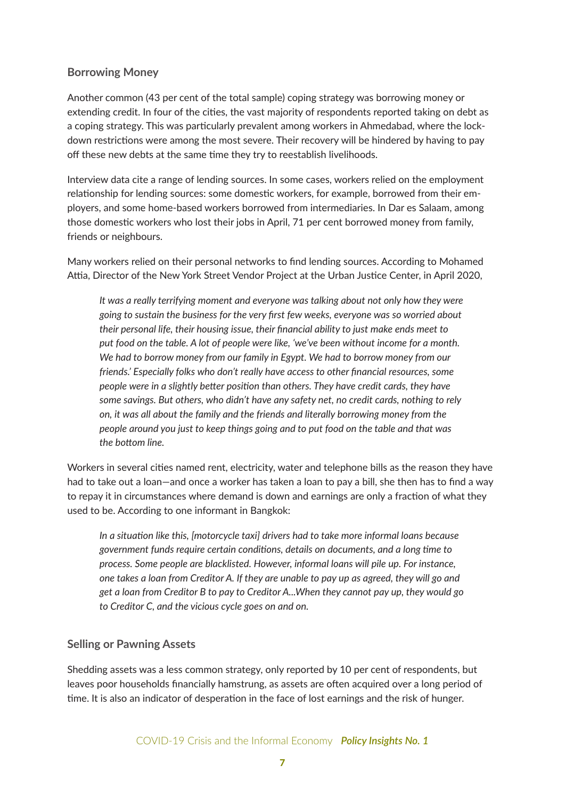#### **Borrowing Money**

Another common (43 per cent of the total sample) coping strategy was borrowing money or extending credit. In four of the cities, the vast majority of respondents reported taking on debt as a coping strategy. This was particularly prevalent among workers in Ahmedabad, where the lockdown restrictions were among the most severe. Their recovery will be hindered by having to pay off these new debts at the same time they try to reestablish livelihoods.

Interview data cite a range of lending sources. In some cases, workers relied on the employment relationship for lending sources: some domestic workers, for example, borrowed from their employers, and some home-based workers borrowed from intermediaries. In Dar es Salaam, among those domestic workers who lost their jobs in April, 71 per cent borrowed money from family, friends or neighbours.

Many workers relied on their personal networks to find lending sources. According to Mohamed Attia, Director of the New York Street Vendor Project at the Urban Justice Center, in April 2020,

*It was a really terrifying moment and everyone was talking about not only how they were going to sustain the business for the very first few weeks, everyone was so worried about their personal life, their housing issue, their financial ability to just make ends meet to put food on the table. A lot of people were like, 'we've been without income for a month. We had to borrow money from our family in Egypt. We had to borrow money from our friends.' Especially folks who don't really have access to other financial resources, some people were in a slightly better position than others. They have credit cards, they have some savings. But others, who didn't have any safety net, no credit cards, nothing to rely on, it was all about the family and the friends and literally borrowing money from the people around you just to keep things going and to put food on the table and that was the bottom line.*

Workers in several cities named rent, electricity, water and telephone bills as the reason they have had to take out a loan—and once a worker has taken a loan to pay a bill, she then has to find a way to repay it in circumstances where demand is down and earnings are only a fraction of what they used to be. According to one informant in Bangkok:

*In a situation like this, [motorcycle taxi] drivers had to take more informal loans because government funds require certain conditions, details on documents, and a long time to process. Some people are blacklisted. However, informal loans will pile up. For instance, one takes a loan from Creditor A. If they are unable to pay up as agreed, they will go and get a loan from Creditor B to pay to Creditor A...When they cannot pay up, they would go to Creditor C, and the vicious cycle goes on and on.*

#### **Selling or Pawning Assets**

Shedding assets was a less common strategy, only reported by 10 per cent of respondents, but leaves poor households financially hamstrung, as assets are often acquired over a long period of time. It is also an indicator of desperation in the face of lost earnings and the risk of hunger.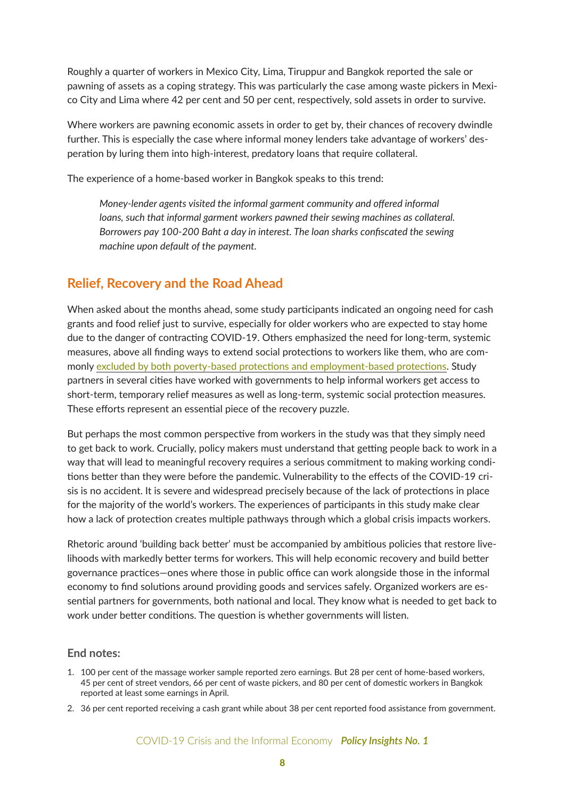Roughly a quarter of workers in Mexico City, Lima, Tiruppur and Bangkok reported the sale or pawning of assets as a coping strategy. This was particularly the case among waste pickers in Mexico City and Lima where 42 per cent and 50 per cent, respectively, sold assets in order to survive.

Where workers are pawning economic assets in order to get by, their chances of recovery dwindle further. This is especially the case where informal money lenders take advantage of workers' desperation by luring them into high-interest, predatory loans that require collateral.

The experience of a home-based worker in Bangkok speaks to this trend:

*Money-lender agents visited the informal garment community and offered informal loans, such that informal garment workers pawned their sewing machines as collateral. Borrowers pay 100-200 Baht a day in interest. The loan sharks confiscated the sewing machine upon default of the payment.*

### **Relief, Recovery and the Road Ahead**

When asked about the months ahead, some study participants indicated an ongoing need for cash grants and food relief just to survive, especially for older workers who are expected to stay home due to the danger of contracting COVID-19. Others emphasized the need for long-term, systemic measures, above all finding ways to extend social protections to workers like them, who are commonly [excluded by both poverty-based protections and employment-based protections.](https://www.wiego.org/blog/reaching-missing-middle-social-protection-informal-workers-covid-19) Study partners in several cities have worked with governments to help informal workers get access to short-term, temporary relief measures as well as long-term, systemic social protection measures. These efforts represent an essential piece of the recovery puzzle.

But perhaps the most common perspective from workers in the study was that they simply need to get back to work. Crucially, policy makers must understand that getting people back to work in a way that will lead to meaningful recovery requires a serious commitment to making working conditions better than they were before the pandemic. Vulnerability to the effects of the COVID-19 crisis is no accident. It is severe and widespread precisely because of the lack of protections in place for the majority of the world's workers. The experiences of participants in this study make clear how a lack of protection creates multiple pathways through which a global crisis impacts workers.

Rhetoric around 'building back better' must be accompanied by ambitious policies that restore livelihoods with markedly better terms for workers. This will help economic recovery and build better governance practices—ones where those in public office can work alongside those in the informal economy to find solutions around providing goods and services safely. Organized workers are essential partners for governments, both national and local. They know what is needed to get back to work under better conditions. The question is whether governments will listen.

#### **End notes:**

- 1. 100 per cent of the massage worker sample reported zero earnings. But 28 per cent of home-based workers, 45 per cent of street vendors, 66 per cent of waste pickers, and 80 per cent of domestic workers in Bangkok reported at least some earnings in April.
- 2. 36 per cent reported receiving a cash grant while about 38 per cent reported food assistance from government.